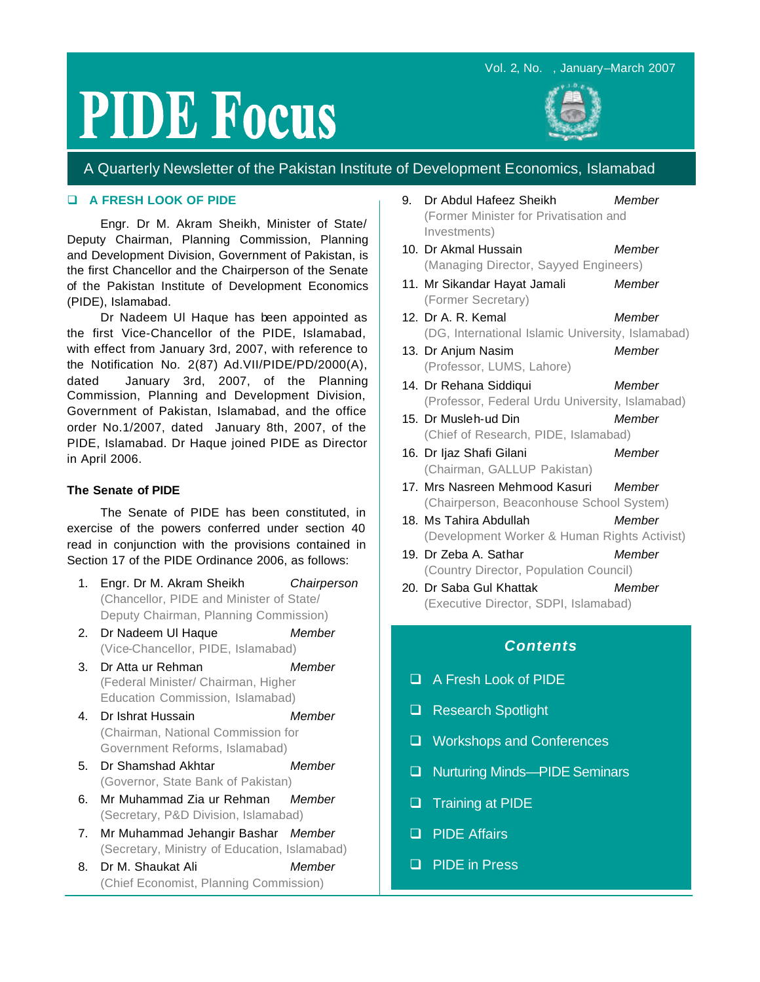# Vol. 2, No. , January–March 2007

# **PIDE Focus**



# A Quarterly Newsletter of the Pakistan Institute of Development Economics, Islamabad

## q **A FRESH LOOK OF PIDE**

Engr. Dr M. Akram Sheikh, Minister of State/ Deputy Chairman, Planning Commission, Planning and Development Division, Government of Pakistan, is the first Chancellor and the Chairperson of the Senate of the Pakistan Institute of Development Economics (PIDE), Islamabad.

Dr Nadeem Ul Haque has been appointed as the first Vice-Chancellor of the PIDE, Islamabad, with effect from January 3rd, 2007, with reference to the Notification No. 2(87) Ad.VII/PIDE/PD/2000(A), dated January 3rd, 2007, of the Planning Commission, Planning and Development Division, Government of Pakistan, Islamabad, and the office order No.1/2007, dated January 8th, 2007, of the PIDE, Islamabad. Dr Haque joined PIDE as Director in April 2006.

#### **The Senate of PIDE**

The Senate of PIDE has been constituted, in exercise of the powers conferred under section 40 read in conjunction with the provisions contained in Section 17 of the PIDE Ordinance 2006, as follows:

- 1. Engr. Dr M. Akram Sheikh *Chairperson* (Chancellor, PIDE and Minister of State/ Deputy Chairman, Planning Commission)
- 2. Dr Nadeem Ul Haque *Member*  (Vice-Chancellor, PIDE, Islamabad)
- 3. Dr Atta ur Rehman *Member* (Federal Minister/ Chairman, Higher Education Commission, Islamabad)
- 4. Dr Ishrat Hussain *Member* (Chairman, National Commission for Government Reforms, Islamabad)
- 5. Dr Shamshad Akhtar *Member*  (Governor, State Bank of Pakistan)
- 6. Mr Muhammad Zia ur Rehman *Member* (Secretary, P&D Division, Islamabad)
- 7. Mr Muhammad Jehangir Bashar *Member* (Secretary, Ministry of Education, Islamabad)
- 8. Dr M. Shaukat Ali *Member* (Chief Economist, Planning Commission)
- 9. Dr Abdul Hafeez Sheikh *Member* (Former Minister for Privatisation and Investments)
- 10. Dr Akmal Hussain *Member* (Managing Director, Sayyed Engineers)
- 11. Mr Sikandar Hayat Jamali *Member* (Former Secretary)
- 12. Dr A. R. Kemal *Member* (DG, International Islamic University, Islamabad)
- 13. Dr Anjum Nasim *Member* (Professor, LUMS, Lahore)
- 14. Dr Rehana Siddiqui *Member* (Professor, Federal Urdu University, Islamabad)
- 15. Dr Musleh-ud Din *Member* (Chief of Research, PIDE, Islamabad)
- 16. Dr Ijaz Shafi Gilani *Member* (Chairman, GALLUP Pakistan)
- 17. Mrs Nasreen Mehmood Kasuri *Member* (Chairperson, Beaconhouse School System)
- 18. Ms Tahira Abdullah *Member* (Development Worker & Human Rights Activist)
- 19. Dr Zeba A. Sathar *Member* (Country Director, Population Council)
- 20. Dr Saba Gul Khattak *Member* (Executive Director, SDPI, Islamabad)

# *Contents*

- q A Fresh Look of PIDE
- **Q** Research Spotlight
- □ Workshops and Conferences
- □ Nurturing Minds—PIDE Seminars
- **Q** Training at PIDE
- **Q** PIDE Affairs
- **Q** PIDE in Press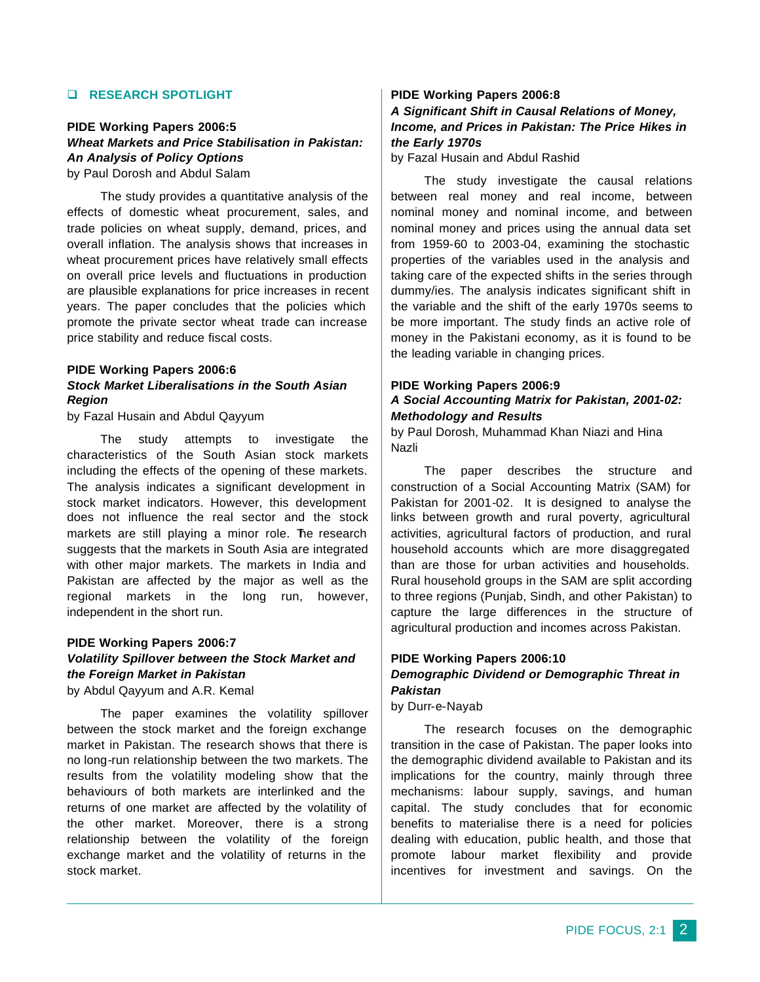# q **RESEARCH SPOTLIGHT**

## **PIDE Working Papers 2006:5** *Wheat Markets and Price Stabilisation in Pakistan: An Analysis of Policy Options* by Paul Dorosh and Abdul Salam

The study provides a quantitative analysis of the effects of domestic wheat procurement, sales, and trade policies on wheat supply, demand, prices, and overall inflation. The analysis shows that increases in wheat procurement prices have relatively small effects on overall price levels and fluctuations in production are plausible explanations for price increases in recent years. The paper concludes that the policies which promote the private sector wheat trade can increase price stability and reduce fiscal costs.

# **PIDE Working Papers 2006:6** *Stock Market Liberalisations in the South Asian Region*

by Fazal Husain and Abdul Qayyum

The study attempts to investigate the characteristics of the South Asian stock markets including the effects of the opening of these markets. The analysis indicates a significant development in stock market indicators. However, this development does not influence the real sector and the stock markets are still playing a minor role. The research suggests that the markets in South Asia are integrated with other major markets. The markets in India and Pakistan are affected by the major as well as the regional markets in the long run, however, independent in the short run.

# **PIDE Working Papers 2006:7** *Volatility Spillover between the Stock Market and the Foreign Market in Pakistan*

by Abdul Qayyum and A.R. Kemal

The paper examines the volatility spillover between the stock market and the foreign exchange market in Pakistan. The research shows that there is no long-run relationship between the two markets. The results from the volatility modeling show that the behaviours of both markets are interlinked and the returns of one market are affected by the volatility of the other market. Moreover, there is a strong relationship between the volatility of the foreign exchange market and the volatility of returns in the stock market.

# **PIDE Working Papers 2006:8**

# *A Significant Shift in Causal Relations of Money, Income, and Prices in Pakistan: The Price Hikes in the Early 1970s*

by Fazal Husain and Abdul Rashid

The study investigate the causal relations between real money and real income, between nominal money and nominal income, and between nominal money and prices using the annual data set from 1959-60 to 2003-04, examining the stochastic properties of the variables used in the analysis and taking care of the expected shifts in the series through dummy/ies. The analysis indicates significant shift in the variable and the shift of the early 1970s seems to be more important. The study finds an active role of money in the Pakistani economy, as it is found to be the leading variable in changing prices.

# **PIDE Working Papers 2006:9** *A Social Accounting Matrix for Pakistan, 2001-02: Methodology and Results*

by Paul Dorosh, Muhammad Khan Niazi and Hina Nazli

The paper describes the structure and construction of a Social Accounting Matrix (SAM) for Pakistan for 2001-02. It is designed to analyse the links between growth and rural poverty, agricultural activities, agricultural factors of production, and rural household accounts which are more disaggregated than are those for urban activities and households. Rural household groups in the SAM are split according to three regions (Punjab, Sindh, and other Pakistan) to capture the large differences in the structure of agricultural production and incomes across Pakistan.

# **PIDE Working Papers 2006:10** *Demographic Dividend or Demographic Threat in Pakistan*

by Durr-e-Nayab

The research focuses on the demographic transition in the case of Pakistan. The paper looks into the demographic dividend available to Pakistan and its implications for the country, mainly through three mechanisms: labour supply, savings, and human capital. The study concludes that for economic benefits to materialise there is a need for policies dealing with education, public health, and those that promote labour market flexibility and provide incentives for investment and savings. On the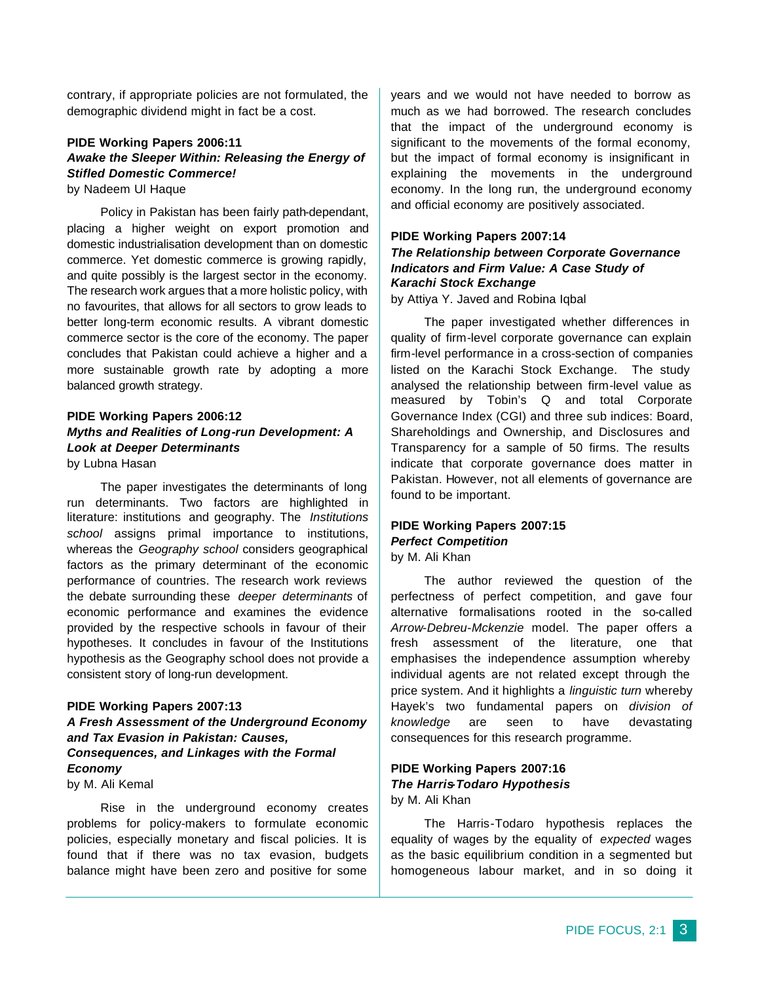contrary, if appropriate policies are not formulated, the demographic dividend might in fact be a cost.

# **PIDE Working Papers 2006:11** *Awake the Sleeper Within: Releasing the Energy of Stifled Domestic Commerce!*

by Nadeem Ul Haque

Policy in Pakistan has been fairly path-dependant, placing a higher weight on export promotion and domestic industrialisation development than on domestic commerce. Yet domestic commerce is growing rapidly, and quite possibly is the largest sector in the economy. The research work argues that a more holistic policy, with no favourites, that allows for all sectors to grow leads to better long-term economic results. A vibrant domestic commerce sector is the core of the economy. The paper concludes that Pakistan could achieve a higher and a more sustainable growth rate by adopting a more balanced growth strategy.

# **PIDE Working Papers 2006:12** *Myths and Realities of Long-run Development: A Look at Deeper Determinants* by Lubna Hasan

The paper investigates the determinants of long run determinants. Two factors are highlighted in literature: institutions and geography. The *Institutions school* assigns primal importance to institutions, whereas the *Geography school* considers geographical factors as the primary determinant of the economic performance of countries. The research work reviews the debate surrounding these *deeper determinants* of economic performance and examines the evidence provided by the respective schools in favour of their hypotheses. It concludes in favour of the Institutions hypothesis as the Geography school does not provide a consistent story of long-run development.

# **PIDE Working Papers 2007:13**

# *A Fresh Assessment of the Underground Economy and Tax Evasion in Pakistan: Causes, Consequences, and Linkages with the Formal Economy*

by M. Ali Kemal

Rise in the underground economy creates problems for policy-makers to formulate economic policies, especially monetary and fiscal policies. It is found that if there was no tax evasion, budgets balance might have been zero and positive for some

years and we would not have needed to borrow as much as we had borrowed. The research concludes that the impact of the underground economy is significant to the movements of the formal economy, but the impact of formal economy is insignificant in explaining the movements in the underground economy. In the long run, the underground economy and official economy are positively associated.

# **PIDE Working Papers 2007:14**

# *The Relationship between Corporate Governance Indicators and Firm Value: A Case Study of Karachi Stock Exchange*

by Attiya Y. Javed and Robina Iqbal

The paper investigated whether differences in quality of firm-level corporate governance can explain firm-level performance in a cross-section of companies listed on the Karachi Stock Exchange. The study analysed the relationship between firm-level value as measured by Tobin's Q and total Corporate Governance Index (CGI) and three sub indices: Board, Shareholdings and Ownership, and Disclosures and Transparency for a sample of 50 firms. The results indicate that corporate governance does matter in Pakistan. However, not all elements of governance are found to be important.

# **PIDE Working Papers 2007:15** *Perfect Competition*

by M. Ali Khan

The author reviewed the question of the perfectness of perfect competition, and gave four alternative formalisations rooted in the so-called *Arrow-Debreu-Mckenzie* model. The paper offers a fresh assessment of the literature, one that emphasises the independence assumption whereby individual agents are not related except through the price system. And it highlights a *linguistic turn* whereby Hayek's two fundamental papers on *division of knowledge* are seen to have devastating consequences for this research programme.

# **PIDE Working Papers 2007:16** *The Harris-Todaro Hypothesis* by M. Ali Khan

The Harris-Todaro hypothesis replaces the equality of wages by the equality of *expected* wages as the basic equilibrium condition in a segmented but homogeneous labour market, and in so doing it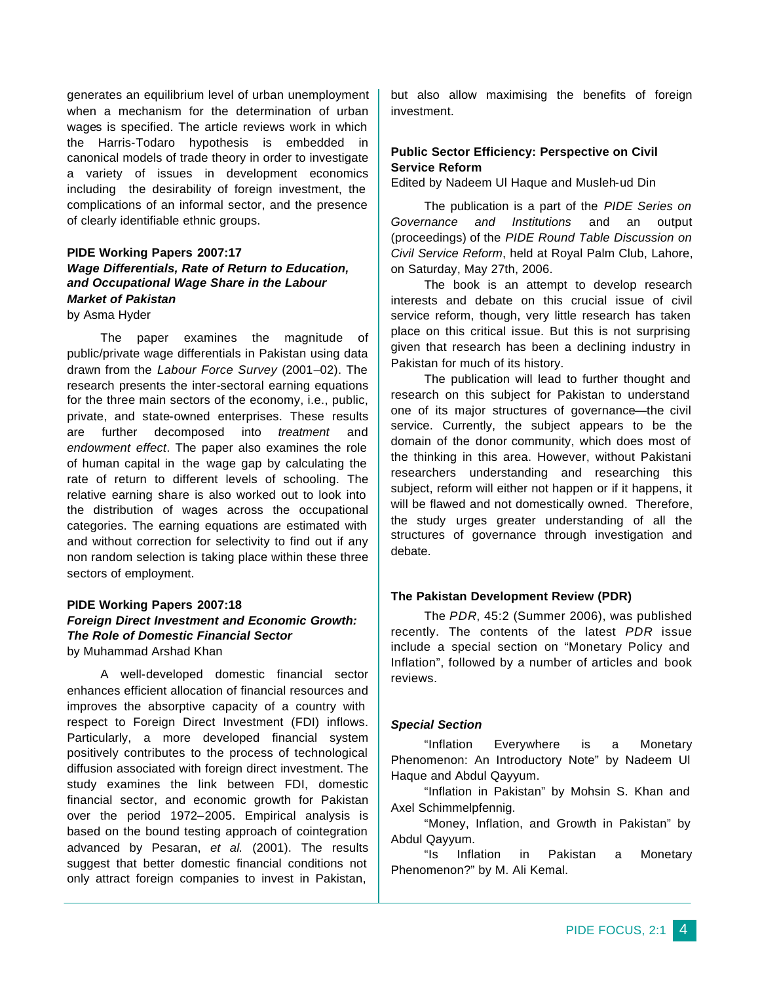generates an equilibrium level of urban unemployment when a mechanism for the determination of urban wages is specified. The article reviews work in which the Harris-Todaro hypothesis is embedded in canonical models of trade theory in order to investigate a variety of issues in development economics including the desirability of foreign investment, the complications of an informal sector, and the presence of clearly identifiable ethnic groups.

# **PIDE Working Papers 2007:17** *Wage Differentials, Rate of Return to Education, and Occupational Wage Share in the Labour Market of Pakistan*

by Asma Hyder

The paper examines the magnitude of public/private wage differentials in Pakistan using data drawn from the *Labour Force Survey* (2001–02). The research presents the inter-sectoral earning equations for the three main sectors of the economy, i.e., public, private, and state-owned enterprises. These results are further decomposed into *treatment* and *endowment effect*. The paper also examines the role of human capital in the wage gap by calculating the rate of return to different levels of schooling. The relative earning share is also worked out to look into the distribution of wages across the occupational categories. The earning equations are estimated with and without correction for selectivity to find out if any non random selection is taking place within these three sectors of employment.

# **PIDE Working Papers 2007:18** *Foreign Direct Investment and Economic Growth: The Role of Domestic Financial Sector* by Muhammad Arshad Khan

A well-developed domestic financial sector enhances efficient allocation of financial resources and improves the absorptive capacity of a country with respect to Foreign Direct Investment (FDI) inflows. Particularly, a more developed financial system positively contributes to the process of technological diffusion associated with foreign direct investment. The study examines the link between FDI, domestic financial sector, and economic growth for Pakistan over the period 1972–2005. Empirical analysis is based on the bound testing approach of cointegration advanced by Pesaran, *et al.* (2001). The results suggest that better domestic financial conditions not only attract foreign companies to invest in Pakistan,

but also allow maximising the benefits of foreign investment.

# **Public Sector Efficiency: Perspective on Civil Service Reform**

Edited by Nadeem Ul Haque and Musleh-ud Din

The publication is a part of the *PIDE Series on Governance and Institutions* and an output (proceedings) of the *PIDE Round Table Discussion on Civil Service Reform*, held at Royal Palm Club, Lahore, on Saturday, May 27th, 2006.

The book is an attempt to develop research interests and debate on this crucial issue of civil service reform, though, very little research has taken place on this critical issue. But this is not surprising given that research has been a declining industry in Pakistan for much of its history.

The publication will lead to further thought and research on this subject for Pakistan to understand one of its major structures of governance—the civil service. Currently, the subject appears to be the domain of the donor community, which does most of the thinking in this area. However, without Pakistani researchers understanding and researching this subject, reform will either not happen or if it happens, it will be flawed and not domestically owned. Therefore, the study urges greater understanding of all the structures of governance through investigation and debate.

#### **The Pakistan Development Review (PDR)**

The *PDR*, 45:2 (Summer 2006), was published recently. The contents of the latest *PDR* issue include a special section on "Monetary Policy and Inflation", followed by a number of articles and book reviews.

#### *Special Section*

"Inflation Everywhere is a Monetary Phenomenon: An Introductory Note" by Nadeem Ul Haque and Abdul Qayyum.

"Inflation in Pakistan" by Mohsin S. Khan and Axel Schimmelpfennig.

"Money, Inflation, and Growth in Pakistan" by Abdul Qayyum.

"Is Inflation in Pakistan a Monetary Phenomenon?" by M. Ali Kemal.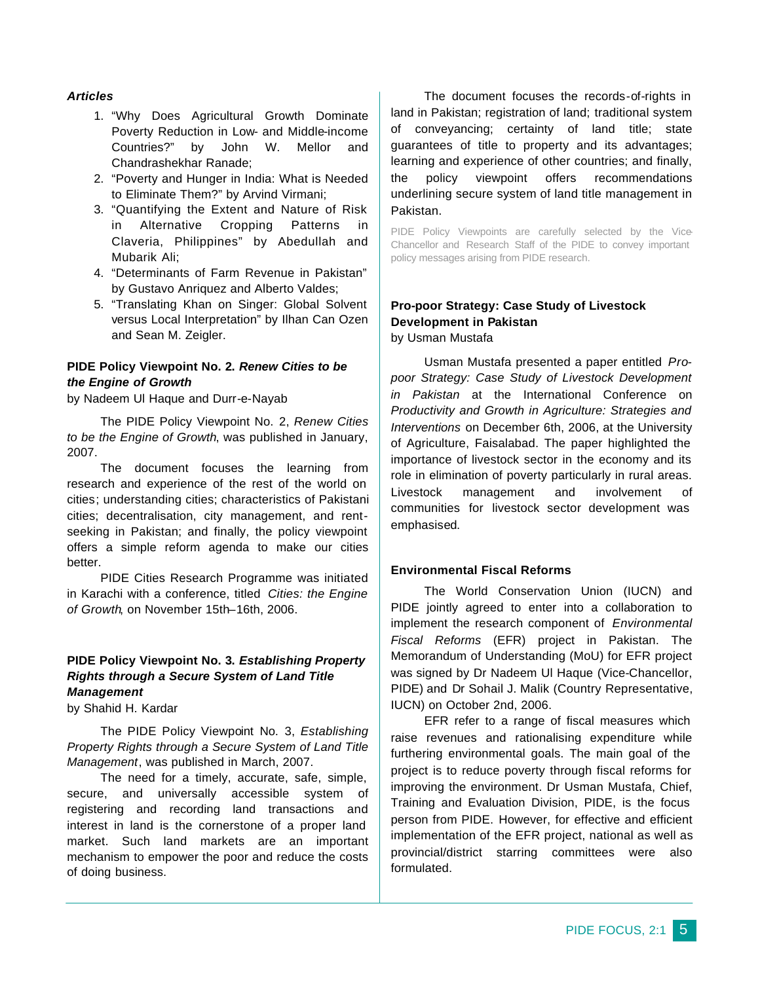# *Articles*

- 1. "Why Does Agricultural Growth Dominate Poverty Reduction in Low- and Middle-income Countries?" by John W. Mellor and Chandrashekhar Ranade;
- 2. "Poverty and Hunger in India: What is Needed to Eliminate Them?" by Arvind Virmani;
- 3. "Quantifying the Extent and Nature of Risk in Alternative Cropping Patterns in Claveria, Philippines" by Abedullah and Mubarik Ali;
- 4. "Determinants of Farm Revenue in Pakistan" by Gustavo Anriquez and Alberto Valdes;
- 5. "Translating Khan on Singer: Global Solvent versus Local Interpretation" by Ilhan Can Ozen and Sean M. Zeigler.

# **PIDE Policy Viewpoint No. 2.** *Renew Cities to be the Engine of Growth*

by Nadeem Ul Haque and Durr-e-Nayab

The PIDE Policy Viewpoint No. 2, *Renew Cities to be the Engine of Growth*, was published in January, 2007.

The document focuses the learning from research and experience of the rest of the world on cities; understanding cities; characteristics of Pakistani cities; decentralisation, city management, and rentseeking in Pakistan; and finally, the policy viewpoint offers a simple reform agenda to make our cities better.

PIDE Cities Research Programme was initiated in Karachi with a conference, titled *Cities: the Engine of Growth*, on November 15th–16th, 2006.

# **PIDE Policy Viewpoint No. 3.** *Establishing Property Rights through a Secure System of Land Title Management*

by Shahid H. Kardar

The PIDE Policy Viewpoint No. 3, *Establishing Property Rights through a Secure System of Land Title Management*, was published in March, 2007.

The need for a timely, accurate, safe, simple, secure, and universally accessible system of registering and recording land transactions and interest in land is the cornerstone of a proper land market. Such land markets are an important mechanism to empower the poor and reduce the costs of doing business.

The document focuses the records-of-rights in land in Pakistan; registration of land; traditional system of conveyancing; certainty of land title; state guarantees of title to property and its advantages; learning and experience of other countries; and finally, the policy viewpoint offers recommendations underlining secure system of land title management in Pakistan.

PIDE Policy Viewpoints are carefully selected by the Vice-Chancellor and Research Staff of the PIDE to convey important policy messages arising from PIDE research.

# **Pro-poor Strategy: Case Study of Livestock Development in Pakistan** by Usman Mustafa

Usman Mustafa presented a paper entitled *Propoor Strategy: Case Study of Livestock Development in Pakistan* at the International Conference on *Productivity and Growth in Agriculture: Strategies and Interventions* on December 6th, 2006, at the University of Agriculture, Faisalabad. The paper highlighted the importance of livestock sector in the economy and its role in elimination of poverty particularly in rural areas. Livestock management and involvement of communities for livestock sector development was emphasised.

#### **Environmental Fiscal Reforms**

The World Conservation Union (IUCN) and PIDE jointly agreed to enter into a collaboration to implement the research component of *Environmental Fiscal Reforms* (EFR) project in Pakistan. The Memorandum of Understanding (MoU) for EFR project was signed by Dr Nadeem Ul Haque (Vice-Chancellor, PIDE) and Dr Sohail J. Malik (Country Representative, IUCN) on October 2nd, 2006.

EFR refer to a range of fiscal measures which raise revenues and rationalising expenditure while furthering environmental goals. The main goal of the project is to reduce poverty through fiscal reforms for improving the environment. Dr Usman Mustafa, Chief, Training and Evaluation Division, PIDE, is the focus person from PIDE. However, for effective and efficient implementation of the EFR project, national as well as provincial/district starring committees were also formulated.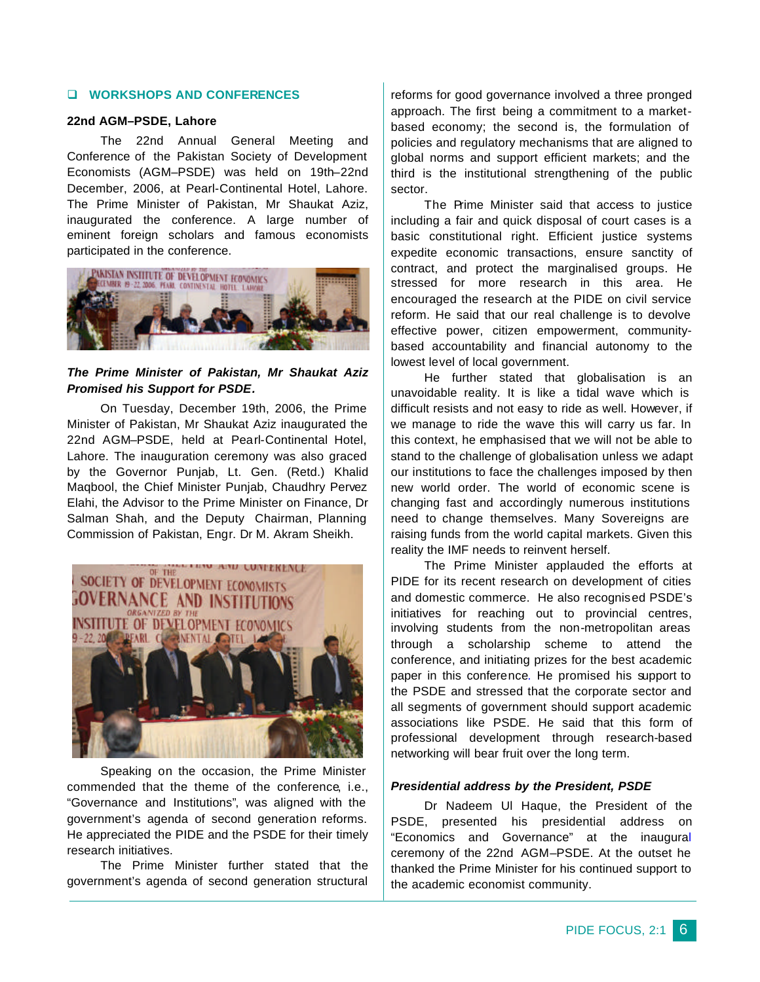#### q **WORKSHOPS AND CONFERENCES**

#### **22nd AGM–PSDE, Lahore**

The 22nd Annual General Meeting and Conference of the Pakistan Society of Development Economists (AGM–PSDE) was held on 19th–22nd December, 2006, at Pearl-Continental Hotel, Lahore. The Prime Minister of Pakistan, Mr Shaukat Aziz, inaugurated the conference. A large number of eminent foreign scholars and famous economists participated in the conference.



# *The Prime Minister of Pakistan, Mr Shaukat Aziz Promised his Support for PSDE.*

On Tuesday, December 19th, 2006, the Prime Minister of Pakistan, Mr Shaukat Aziz inaugurated the 22nd AGM–PSDE, held at Pearl-Continental Hotel, Lahore. The inauguration ceremony was also graced by the Governor Punjab, Lt. Gen. (Retd.) Khalid Maqbool, the Chief Minister Punjab, Chaudhry Pervez Elahi, the Advisor to the Prime Minister on Finance, Dr Salman Shah, and the Deputy Chairman, Planning Commission of Pakistan, Engr. Dr M. Akram Sheikh.



Speaking on the occasion, the Prime Minister commended that the theme of the conference, i.e., "Governance and Institutions", was aligned with the government's agenda of second generation reforms. He appreciated the PIDE and the PSDE for their timely research initiatives.

The Prime Minister further stated that the government's agenda of second generation structural reforms for good governance involved a three pronged approach. The first being a commitment to a marketbased economy; the second is, the formulation of policies and regulatory mechanisms that are aligned to global norms and support efficient markets; and the third is the institutional strengthening of the public sector.

The Prime Minister said that access to justice including a fair and quick disposal of court cases is a basic constitutional right. Efficient justice systems expedite economic transactions, ensure sanctity of contract, and protect the marginalised groups. He stressed for more research in this area. He encouraged the research at the PIDE on civil service reform. He said that our real challenge is to devolve effective power, citizen empowerment, communitybased accountability and financial autonomy to the lowest level of local government.

He further stated that globalisation is an unavoidable reality. It is like a tidal wave which is difficult resists and not easy to ride as well. However, if we manage to ride the wave this will carry us far. In this context, he emphasised that we will not be able to stand to the challenge of globalisation unless we adapt our institutions to face the challenges imposed by then new world order. The world of economic scene is changing fast and accordingly numerous institutions need to change themselves. Many Sovereigns are raising funds from the world capital markets. Given this reality the IMF needs to reinvent herself.

The Prime Minister applauded the efforts at PIDE for its recent research on development of cities and domestic commerce. He also recognised PSDE's initiatives for reaching out to provincial centres, involving students from the non-metropolitan areas through a scholarship scheme to attend the conference, and initiating prizes for the best academic paper in this conference. He promised his support to the PSDE and stressed that the corporate sector and all segments of government should support academic associations like PSDE. He said that this form of professional development through research-based networking will bear fruit over the long term.

#### *Presidential address by the President, PSDE*

Dr Nadeem Ul Haque, the President of the PSDE, presented his presidential address on "Economics and Governance" at the inaugural ceremony of the 22nd AGM–PSDE. At the outset he thanked the Prime Minister for his continued support to the academic economist community.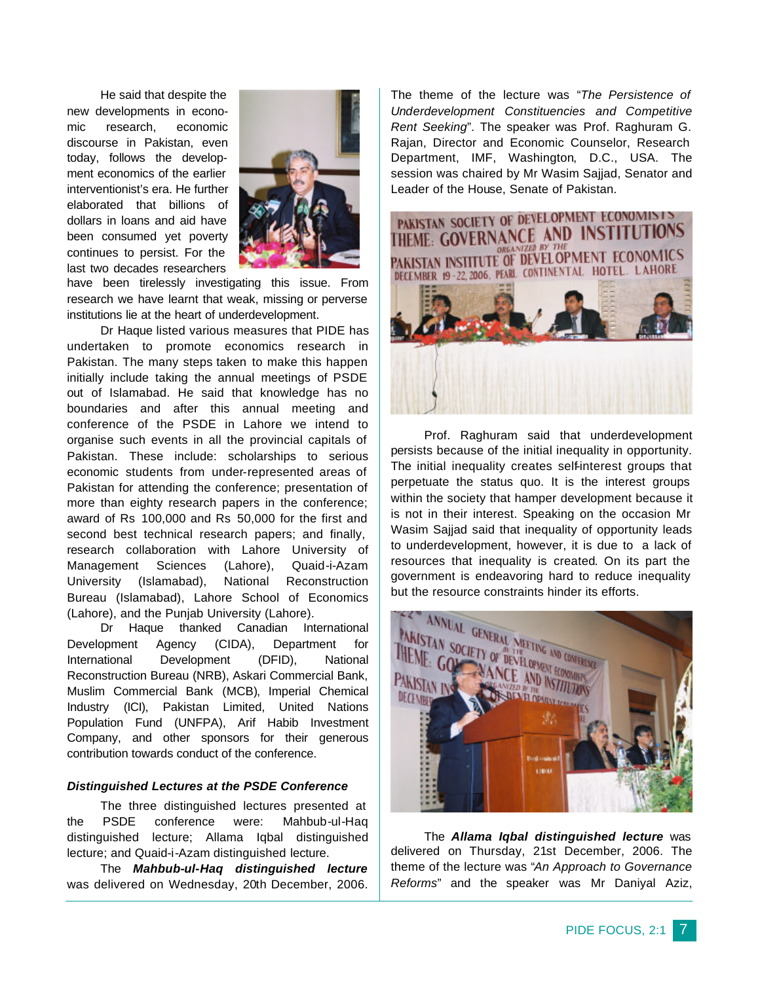He said that despite the new developments in economic research, economic discourse in Pakistan, even today, follows the development economics of the earlier interventionist's era. He further elaborated that billions of dollars in loans and aid have been consumed yet poverty continues to persist. For the last two decades researchers



have been tirelessly investigating this issue. From research we have learnt that weak, missing or perverse institutions lie at the heart of underdevelopment.

Dr Haque listed various measures that PIDE has undertaken to promote economics research in Pakistan. The many steps taken to make this happen initially include taking the annual meetings of PSDE out of Islamabad. He said that knowledge has no boundaries and after this annual meeting and conference of the PSDE in Lahore we intend to organise such events in all the provincial capitals of Pakistan. These include: scholarships to serious economic students from under-represented areas of Pakistan for attending the conference; presentation of more than eighty research papers in the conference; award of Rs 100,000 and Rs 50,000 for the first and second best technical research papers; and finally, research collaboration with Lahore University of Management Sciences (Lahore), Quaid-i-Azam University (Islamabad), National Reconstruction Bureau (Islamabad), Lahore School of Economics (Lahore), and the Punjab University (Lahore).

Dr Haque thanked Canadian International Development Agency (CIDA), Department for International Development (DFID), National Reconstruction Bureau (NRB), Askari Commercial Bank, Muslim Commercial Bank (MCB), Imperial Chemical Industry (ICI), Pakistan Limited, United Nations Population Fund (UNFPA), Arif Habib Investment Company, and other sponsors for their generous contribution towards conduct of the conference.

#### *Distinguished Lectures at the PSDE Conference*

The three distinguished lectures presented at the PSDE conference were: Mahbub-ul-Haq distinguished lecture; Allama Iqbal distinguished lecture; and Quaid-i-Azam distinguished lecture.

The *Mahbub-ul-Haq distinguished lecture* was delivered on Wednesday, 20th December, 2006.

The theme of the lecture was "*The Persistence of Underdevelopment Constituencies and Competitive Rent Seeking*". The speaker was Prof. Raghuram G. Rajan, Director and Economic Counselor, Research Department, IMF, Washington, D.C., USA. The session was chaired by Mr Wasim Sajjad, Senator and Leader of the House, Senate of Pakistan.



Prof. Raghuram said that underdevelopment persists because of the initial inequality in opportunity. The initial inequality creates self-interest groups that perpetuate the status quo. It is the interest groups within the society that hamper development because it is not in their interest. Speaking on the occasion Mr Wasim Sajjad said that inequality of opportunity leads to underdevelopment, however, it is due to a lack of resources that inequality is created. On its part the government is endeavoring hard to reduce inequality but the resource constraints hinder its efforts.



The *Allama Iqbal distinguished lecture* was delivered on Thursday, 21st December, 2006. The theme of the lecture was "*An Approach to Governance Reforms*" and the speaker was Mr Daniyal Aziz,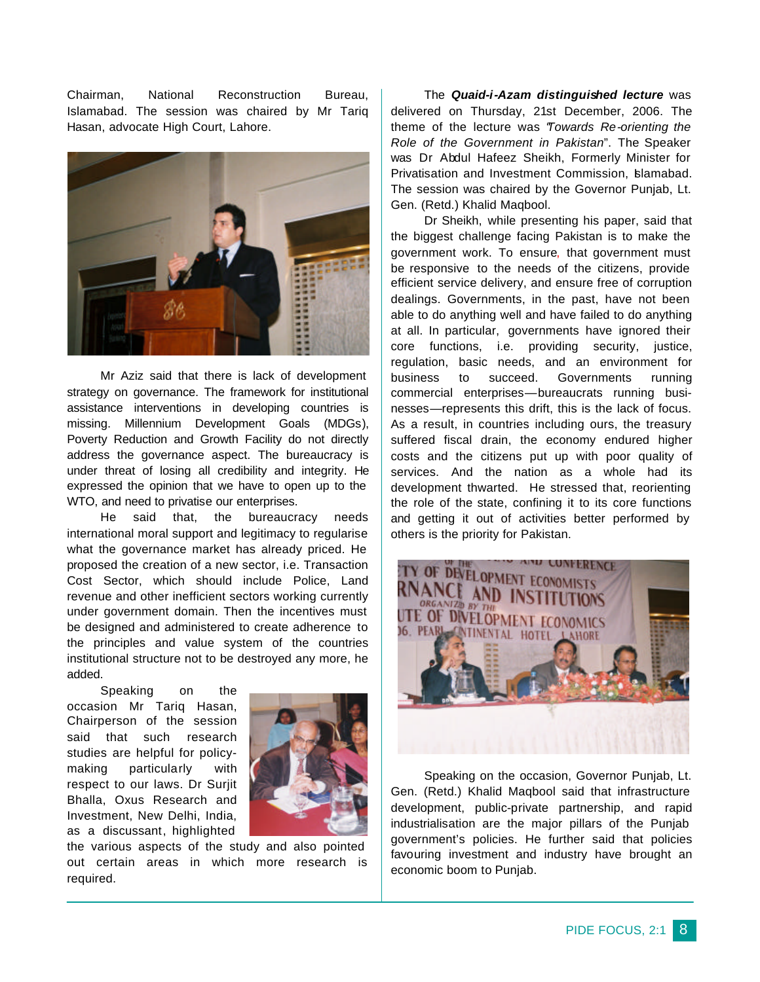Chairman, National Reconstruction Bureau, Islamabad. The session was chaired by Mr Tariq Hasan, advocate High Court, Lahore.



Mr Aziz said that there is lack of development strategy on governance. The framework for institutional assistance interventions in developing countries is missing. Millennium Development Goals (MDGs), Poverty Reduction and Growth Facility do not directly address the governance aspect. The bureaucracy is under threat of losing all credibility and integrity. He expressed the opinion that we have to open up to the WTO, and need to privatise our enterprises.

He said that, the bureaucracy needs international moral support and legitimacy to regularise what the governance market has already priced. He proposed the creation of a new sector, i.e. Transaction Cost Sector, which should include Police, Land revenue and other inefficient sectors working currently under government domain. Then the incentives must be designed and administered to create adherence to the principles and value system of the countries institutional structure not to be destroyed any more, he added.

Speaking on the occasion Mr Tariq Hasan, Chairperson of the session said that such research studies are helpful for policymaking particularly with respect to our laws. Dr Surjit Bhalla, Oxus Research and Investment, New Delhi, India, as a discussant, highlighted



the various aspects of the study and also pointed out certain areas in which more research is required.

The *Quaid-i-Azam distinguished lecture* was delivered on Thursday, 21st December, 2006. The theme of the lecture was "*Towards Re-orienting the Role of the Government in Pakistan*". The Speaker was Dr Abdul Hafeez Sheikh, Formerly Minister for Privatisation and Investment Commission, Blamabad. The session was chaired by the Governor Punjab, Lt. Gen. (Retd.) Khalid Maqbool.

Dr Sheikh, while presenting his paper, said that the biggest challenge facing Pakistan is to make the government work. To ensure, that government must be responsive to the needs of the citizens, provide efficient service delivery, and ensure free of corruption dealings. Governments, in the past, have not been able to do anything well and have failed to do anything at all. In particular, governments have ignored their core functions, i.e. providing security, justice, regulation, basic needs, and an environment for business to succeed. Governments running commercial enterprises—bureaucrats running businesses—represents this drift, this is the lack of focus. As a result, in countries including ours, the treasury suffered fiscal drain, the economy endured higher costs and the citizens put up with poor quality of services. And the nation as a whole had its development thwarted. He stressed that, reorienting the role of the state, confining it to its core functions and getting it out of activities better performed by others is the priority for Pakistan.



Speaking on the occasion, Governor Punjab, Lt. Gen. (Retd.) Khalid Maqbool said that infrastructure development, public-private partnership, and rapid industrialisation are the major pillars of the Punjab government's policies. He further said that policies favouring investment and industry have brought an economic boom to Punjab.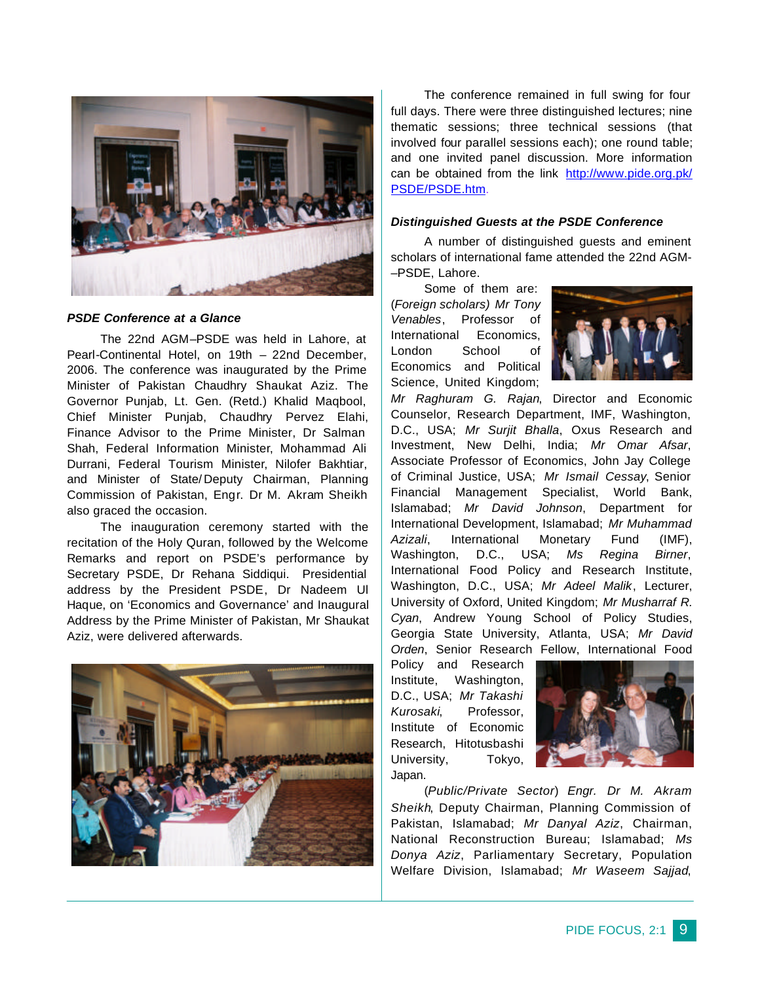

#### *PSDE Conference at a Glance*

The 22nd AGM–PSDE was held in Lahore, at Pearl-Continental Hotel, on 19th – 22nd December, 2006. The conference was inaugurated by the Prime Minister of Pakistan Chaudhry Shaukat Aziz. The Governor Punjab, Lt. Gen. (Retd.) Khalid Maqbool, Chief Minister Punjab, Chaudhry Pervez Elahi, Finance Advisor to the Prime Minister, Dr Salman Shah, Federal Information Minister, Mohammad Ali Durrani, Federal Tourism Minister, Nilofer Bakhtiar, and Minister of State/ Deputy Chairman, Planning Commission of Pakistan, Engr. Dr M. Akram Sheikh also graced the occasion.

The inauguration ceremony started with the recitation of the Holy Quran, followed by the Welcome Remarks and report on PSDE's performance by Secretary PSDE, Dr Rehana Siddiqui. Presidential address by the President PSDE, Dr Nadeem Ul Haque, on 'Economics and Governance' and Inaugural Address by the Prime Minister of Pakistan, Mr Shaukat Aziz, were delivered afterwards.



The conference remained in full swing for four full days. There were three distinguished lectures; nine thematic sessions; three technical sessions (that involved four parallel sessions each); one round table; and one invited panel discussion. More information can be obtained from the link http://www.pide.org.pk/ PSDE/PSDE.htm.

#### *Distinguished Guests at the PSDE Conference*

A number of distinguished guests and eminent scholars of international fame attended the 22nd AGM- –PSDE, Lahore.

Some of them are: (*Foreign scholars) Mr Tony Venables*, Professor of International Economics, London School of Economics and Political Science, United Kingdom;



*Mr Raghuram G. Rajan*, Director and Economic Counselor, Research Department, IMF, Washington, D.C., USA; *Mr Surjit Bhalla*, Oxus Research and Investment, New Delhi, India; *Mr Omar Afsar*, Associate Professor of Economics, John Jay College of Criminal Justice, USA; *Mr Ismail Cessay*, Senior Financial Management Specialist, World Bank, Islamabad; *Mr David Johnson*, Department for International Development, Islamabad; *Mr Muhammad Azizali*, International Monetary Fund (IMF), Washington, D.C., USA; *Ms Regina Birner*, International Food Policy and Research Institute, Washington, D.C., USA; *Mr Adeel Malik*, Lecturer, University of Oxford, United Kingdom; *Mr Musharraf R. Cyan*, Andrew Young School of Policy Studies, Georgia State University, Atlanta, USA; *Mr David Orden*, Senior Research Fellow, International Food

Policy and Research Institute, Washington, D.C., USA; *Mr Takashi Kurosaki*, Professor, Institute of Economic Research, Hitotusbashi University, Tokyo, Japan.



(*Public/Private Sector*) *Engr. Dr M. Akram Sheikh*, Deputy Chairman, Planning Commission of Pakistan, Islamabad; *Mr Danyal Aziz*, Chairman, National Reconstruction Bureau; Islamabad; *Ms Donya Aziz*, Parliamentary Secretary, Population Welfare Division, Islamabad; *Mr Waseem Sajjad*,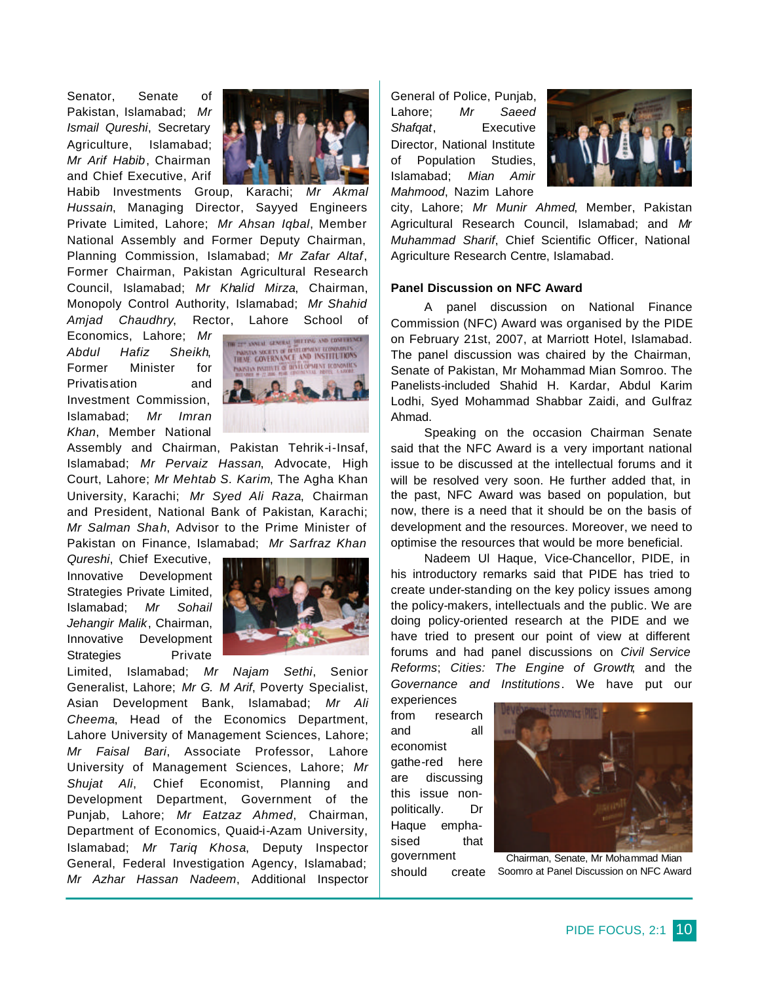Senator, Senate of Pakistan, Islamabad; *Mr Ismail Qureshi*, Secretary Agriculture, Islamabad; *Mr Arif Habib*, Chairman and Chief Executive, Arif



Habib Investments Group, Karachi; *Mr Akmal Hussain*, Managing Director, Sayyed Engineers Private Limited, Lahore; *Mr Ahsan Iqbal*, Member National Assembly and Former Deputy Chairman, Planning Commission, Islamabad; *Mr Zafar Altaf*, Former Chairman, Pakistan Agricultural Research Council, Islamabad; *Mr Khalid Mirza*, Chairman, Monopoly Control Authority, Islamabad; *Mr Shahid Amjad Chaudhry*, Rector, Lahore School of

Economics, Lahore; *Mr Abdul Hafiz Sheikh*, Former Minister for Privatisation and Investment Commission, Islamabad; *Mr Imran Khan*, Member National



Assembly and Chairman, Pakistan Tehrik-i-Insaf, Islamabad; *Mr Pervaiz Hassan*, Advocate, High Court, Lahore; *Mr Mehtab S. Karim*, The Agha Khan University, Karachi; *Mr Syed Ali Raza*, Chairman and President, National Bank of Pakistan, Karachi; *Mr Salman Shah*, Advisor to the Prime Minister of Pakistan on Finance, Islamabad; *Mr Sarfraz Khan* 

*Qureshi*, Chief Executive, Innovative Development Strategies Private Limited, Islamabad; *Mr Sohail Jehangir Malik*, Chairman, Innovative Development Strategies Private



Limited, Islamabad; *Mr Najam Sethi*, Senior Generalist, Lahore; *Mr G. M Arif*, Poverty Specialist, Asian Development Bank, Islamabad; *Mr Ali Cheema*, Head of the Economics Department, Lahore University of Management Sciences, Lahore; *Mr Faisal Bari*, Associate Professor, Lahore University of Management Sciences, Lahore; *Mr Shujat Ali*, Chief Economist, Planning and Development Department, Government of the Punjab, Lahore; *Mr Eatzaz Ahmed*, Chairman, Department of Economics, Quaid-i-Azam University, Islamabad; *Mr Tariq Khosa*, Deputy Inspector General, Federal Investigation Agency, Islamabad; *Mr Azhar Hassan Nadeem*, Additional Inspector

General of Police, Punjab, Lahore; *Mr Saeed Shafqat*, Executive Director, National Institute of Population Studies, Islamabad; *Mian Amir Mahmood*, Nazim Lahore



city, Lahore; *Mr Munir Ahmed*, Member, Pakistan Agricultural Research Council, Islamabad; and *Mr Muhammad Sharif*, Chief Scientific Officer, National Agriculture Research Centre, Islamabad.

#### **Panel Discussion on NFC Award**

A panel discussion on National Finance Commission (NFC) Award was organised by the PIDE on February 21st, 2007, at Marriott Hotel, Islamabad. The panel discussion was chaired by the Chairman, Senate of Pakistan, Mr Mohammad Mian Somroo. The Panelists-included Shahid H. Kardar, Abdul Karim Lodhi, Syed Mohammad Shabbar Zaidi, and Gulfraz Ahmad.

Speaking on the occasion Chairman Senate said that the NFC Award is a very important national issue to be discussed at the intellectual forums and it will be resolved very soon. He further added that, in the past, NFC Award was based on population, but now, there is a need that it should be on the basis of development and the resources. Moreover, we need to optimise the resources that would be more beneficial.

Nadeem Ul Haque, Vice-Chancellor, PIDE, in his introductory remarks said that PIDE has tried to create under-standing on the key policy issues among the policy-makers, intellectuals and the public. We are doing policy-oriented research at the PIDE and we have tried to present our point of view at different forums and had panel discussions on *Civil Service Reforms*; *Cities: The Engine of Growth*; and the *Governance and Institutions*. We have put our

experiences from research and all economist gathe-red here are discussing this issue nonpolitically. Dr Haque emphasised that government should create



Chairman, Senate, Mr Mohammad Mian Soomro at Panel Discussion on NFC Award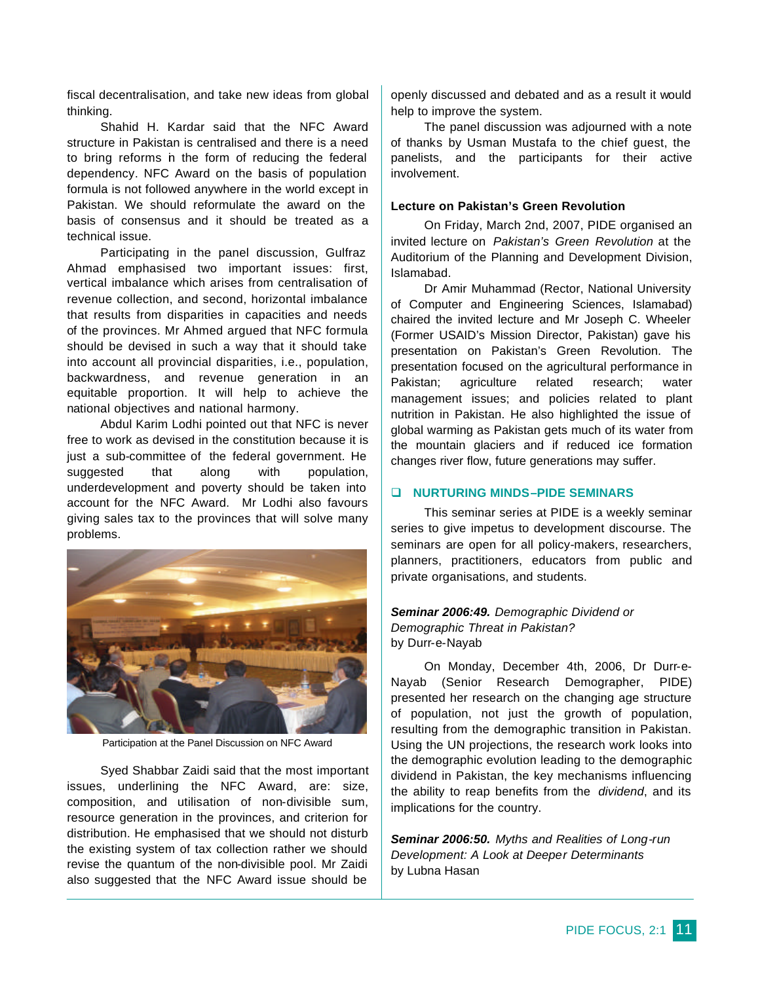fiscal decentralisation, and take new ideas from global thinking.

Shahid H. Kardar said that the NFC Award structure in Pakistan is centralised and there is a need to bring reforms in the form of reducing the federal dependency. NFC Award on the basis of population formula is not followed anywhere in the world except in Pakistan. We should reformulate the award on the basis of consensus and it should be treated as a technical issue.

Participating in the panel discussion, Gulfraz Ahmad emphasised two important issues: first, vertical imbalance which arises from centralisation of revenue collection, and second, horizontal imbalance that results from disparities in capacities and needs of the provinces. Mr Ahmed argued that NFC formula should be devised in such a way that it should take into account all provincial disparities, i.e., population, backwardness, and revenue generation in an equitable proportion. It will help to achieve the national objectives and national harmony.

Abdul Karim Lodhi pointed out that NFC is never free to work as devised in the constitution because it is just a sub-committee of the federal government. He suggested that along with population, underdevelopment and poverty should be taken into account for the NFC Award. Mr Lodhi also favours giving sales tax to the provinces that will solve many problems.



Participation at the Panel Discussion on NFC Award

Syed Shabbar Zaidi said that the most important issues, underlining the NFC Award, are: size, composition, and utilisation of non-divisible sum, resource generation in the provinces, and criterion for distribution. He emphasised that we should not disturb the existing system of tax collection rather we should revise the quantum of the non-divisible pool. Mr Zaidi also suggested that the NFC Award issue should be

openly discussed and debated and as a result it would help to improve the system.

The panel discussion was adjourned with a note of thanks by Usman Mustafa to the chief guest, the panelists, and the participants for their active involvement.

#### **Lecture on Pakistan's Green Revolution**

On Friday, March 2nd, 2007, PIDE organised an invited lecture on *Pakistan's Green Revolution* at the Auditorium of the Planning and Development Division, Islamabad.

Dr Amir Muhammad (Rector, National University of Computer and Engineering Sciences, Islamabad) chaired the invited lecture and Mr Joseph C. Wheeler (Former USAID's Mission Director, Pakistan) gave his presentation on Pakistan's Green Revolution. The presentation focused on the agricultural performance in Pakistan; agriculture related research; water management issues; and policies related to plant nutrition in Pakistan. He also highlighted the issue of global warming as Pakistan gets much of its water from the mountain glaciers and if reduced ice formation changes river flow, future generations may suffer.

#### q **NURTURING MINDS–PIDE SEMINARS**

This seminar series at PIDE is a weekly seminar series to give impetus to development discourse. The seminars are open for all policy-makers, researchers, planners, practitioners, educators from public and private organisations, and students.

## *Seminar 2006:49. Demographic Dividend or Demographic Threat in Pakistan?* by Durr-e-Nayab

On Monday, December 4th, 2006, Dr Durr-e-Nayab (Senior Research Demographer, PIDE) presented her research on the changing age structure of population, not just the growth of population, resulting from the demographic transition in Pakistan. Using the UN projections, the research work looks into the demographic evolution leading to the demographic dividend in Pakistan, the key mechanisms influencing the ability to reap benefits from the *dividend*, and its implications for the country.

*Seminar 2006:50. Myths and Realities of Long-run Development: A Look at Deeper Determinants* by Lubna Hasan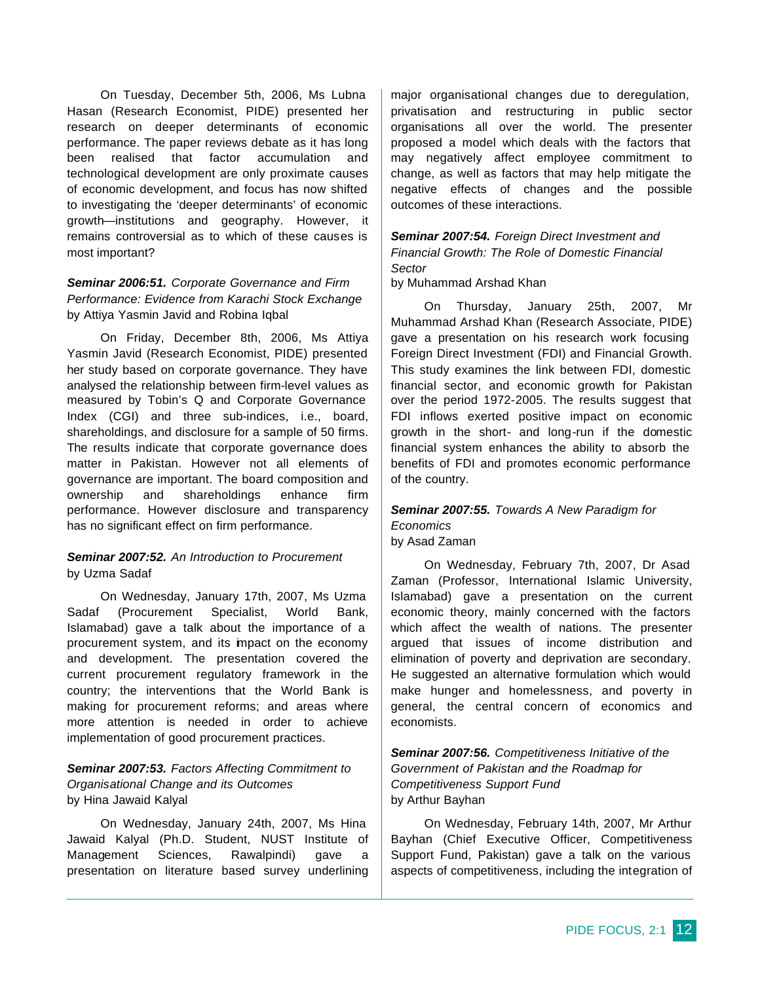On Tuesday, December 5th, 2006, Ms Lubna Hasan (Research Economist, PIDE) presented her research on deeper determinants of economic performance. The paper reviews debate as it has long been realised that factor accumulation and technological development are only proximate causes of economic development, and focus has now shifted to investigating the 'deeper determinants' of economic growth—institutions and geography. However, it remains controversial as to which of these causes is most important?

# *Seminar 2006:51. Corporate Governance and Firm Performance: Evidence from Karachi Stock Exchange* by Attiya Yasmin Javid and Robina Iqbal

On Friday, December 8th, 2006, Ms Attiya Yasmin Javid (Research Economist, PIDE) presented her study based on corporate governance. They have analysed the relationship between firm-level values as measured by Tobin's Q and Corporate Governance Index (CGI) and three sub-indices, i.e., board, shareholdings, and disclosure for a sample of 50 firms. The results indicate that corporate governance does matter in Pakistan. However not all elements of governance are important. The board composition and ownership and shareholdings enhance firm performance. However disclosure and transparency has no significant effect on firm performance.

# *Seminar 2007:52. An Introduction to Procurement* by Uzma Sadaf

On Wednesday, January 17th, 2007, Ms Uzma Sadaf (Procurement Specialist, World Bank, Islamabad) gave a talk about the importance of a procurement system, and its impact on the economy and development. The presentation covered the current procurement regulatory framework in the country; the interventions that the World Bank is making for procurement reforms; and areas where more attention is needed in order to achieve implementation of good procurement practices.

# *Seminar 2007:53. Factors Affecting Commitment to Organisational Change and its Outcomes*  by Hina Jawaid Kalyal

On Wednesday, January 24th, 2007, Ms Hina Jawaid Kalyal (Ph.D. Student, NUST Institute of Management Sciences, Rawalpindi) gave a presentation on literature based survey underlining

major organisational changes due to deregulation, privatisation and restructuring in public sector organisations all over the world. The presenter proposed a model which deals with the factors that may negatively affect employee commitment to change, as well as factors that may help mitigate the negative effects of changes and the possible outcomes of these interactions.

*Seminar 2007:54. Foreign Direct Investment and Financial Growth: The Role of Domestic Financial Sector*

by Muhammad Arshad Khan

On Thursday, January 25th, 2007, Mr Muhammad Arshad Khan (Research Associate, PIDE) gave a presentation on his research work focusing Foreign Direct Investment (FDI) and Financial Growth. This study examines the link between FDI, domestic financial sector, and economic growth for Pakistan over the period 1972-2005. The results suggest that FDI inflows exerted positive impact on economic growth in the short- and long-run if the domestic financial system enhances the ability to absorb the benefits of FDI and promotes economic performance of the country.

# *Seminar 2007:55. Towards A New Paradigm for Economics*

by Asad Zaman

On Wednesday, February 7th, 2007, Dr Asad Zaman (Professor, International Islamic University, Islamabad) gave a presentation on the current economic theory, mainly concerned with the factors which affect the wealth of nations. The presenter argued that issues of income distribution and elimination of poverty and deprivation are secondary. He suggested an alternative formulation which would make hunger and homelessness, and poverty in general, the central concern of economics and economists.

*Seminar 2007:56. Competitiveness Initiative of the Government of Pakistan and the Roadmap for Competitiveness Support Fund* by Arthur Bayhan

On Wednesday, February 14th, 2007, Mr Arthur Bayhan (Chief Executive Officer, Competitiveness Support Fund, Pakistan) gave a talk on the various aspects of competitiveness, including the integration of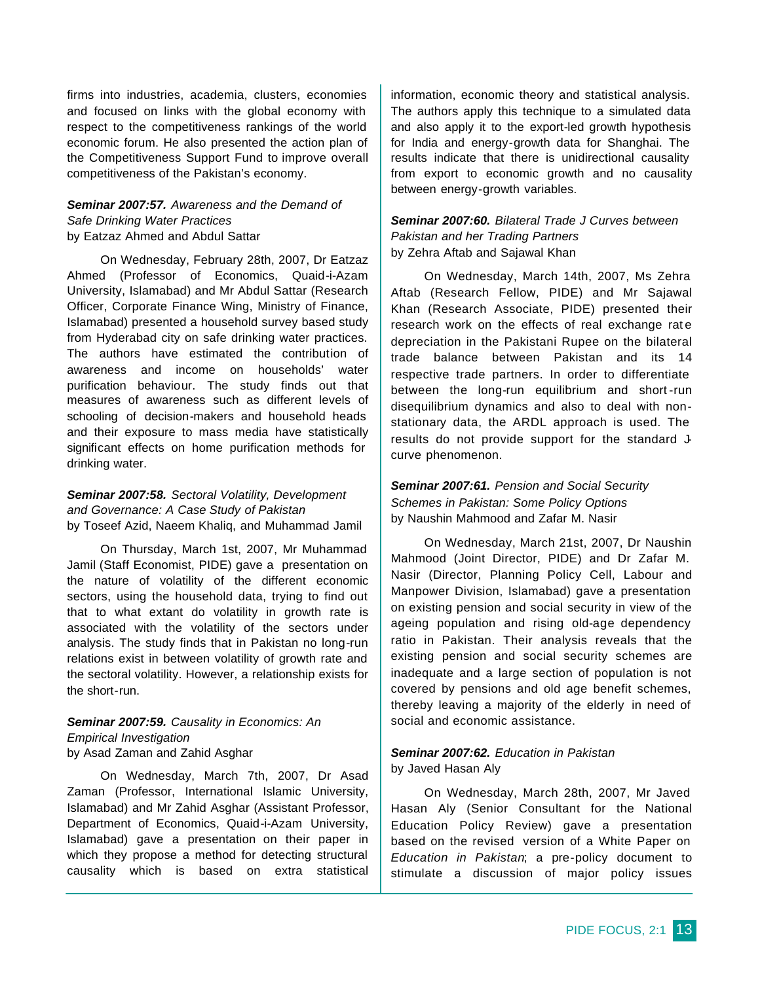firms into industries, academia, clusters, economies and focused on links with the global economy with respect to the competitiveness rankings of the world economic forum. He also presented the action plan of the Competitiveness Support Fund to improve overall competitiveness of the Pakistan's economy.

# *Seminar 2007:57. Awareness and the Demand of Safe Drinking Water Practices* by Eatzaz Ahmed and Abdul Sattar

On Wednesday, February 28th, 2007, Dr Eatzaz Ahmed (Professor of Economics, Quaid-i-Azam University, Islamabad) and Mr Abdul Sattar (Research Officer, Corporate Finance Wing, Ministry of Finance, Islamabad) presented a household survey based study from Hyderabad city on safe drinking water practices. The authors have estimated the contribution of awareness and income on households' water purification behaviour. The study finds out that measures of awareness such as different levels of schooling of decision-makers and household heads and their exposure to mass media have statistically significant effects on home purification methods for drinking water.

## *Seminar 2007:58. Sectoral Volatility, Development and Governance: A Case Study of Pakistan*  by Toseef Azid, Naeem Khaliq, and Muhammad Jamil

On Thursday, March 1st, 2007, Mr Muhammad Jamil (Staff Economist, PIDE) gave a presentation on the nature of volatility of the different economic sectors, using the household data, trying to find out that to what extant do volatility in growth rate is associated with the volatility of the sectors under analysis. The study finds that in Pakistan no long-run relations exist in between volatility of growth rate and the sectoral volatility. However, a relationship exists for the short-run.

## *Seminar 2007:59. Causality in Economics: An Empirical Investigation*  by Asad Zaman and Zahid Asghar

On Wednesday, March 7th, 2007, Dr Asad Zaman (Professor, International Islamic University, Islamabad) and Mr Zahid Asghar (Assistant Professor, Department of Economics, Quaid-i-Azam University, Islamabad) gave a presentation on their paper in which they propose a method for detecting structural causality which is based on extra statistical information, economic theory and statistical analysis. The authors apply this technique to a simulated data and also apply it to the export-led growth hypothesis for India and energy-growth data for Shanghai. The results indicate that there is unidirectional causality from export to economic growth and no causality between energy-growth variables.

# *Seminar 2007:60. Bilateral Trade J Curves between Pakistan and her Trading Partners* by Zehra Aftab and Sajawal Khan

On Wednesday, March 14th, 2007, Ms Zehra Aftab (Research Fellow, PIDE) and Mr Sajawal Khan (Research Associate, PIDE) presented their research work on the effects of real exchange rat e depreciation in the Pakistani Rupee on the bilateral trade balance between Pakistan and its 14 respective trade partners. In order to differentiate between the long-run equilibrium and short -run disequilibrium dynamics and also to deal with nonstationary data, the ARDL approach is used. The results do not provide support for the standard Jcurve phenomenon.

# *Seminar 2007:61. Pension and Social Security Schemes in Pakistan: Some Policy Options* by Naushin Mahmood and Zafar M. Nasir

On Wednesday, March 21st, 2007, Dr Naushin Mahmood (Joint Director, PIDE) and Dr Zafar M. Nasir (Director, Planning Policy Cell, Labour and Manpower Division, Islamabad) gave a presentation on existing pension and social security in view of the ageing population and rising old-age dependency ratio in Pakistan. Their analysis reveals that the existing pension and social security schemes are inadequate and a large section of population is not covered by pensions and old age benefit schemes, thereby leaving a majority of the elderly in need of social and economic assistance.

#### *Seminar 2007:62. Education in Pakistan* by Javed Hasan Aly

On Wednesday, March 28th, 2007, Mr Javed Hasan Aly (Senior Consultant for the National Education Policy Review) gave a presentation based on the revised version of a White Paper on *Education in Pakistan*; a pre-policy document to stimulate a discussion of major policy issues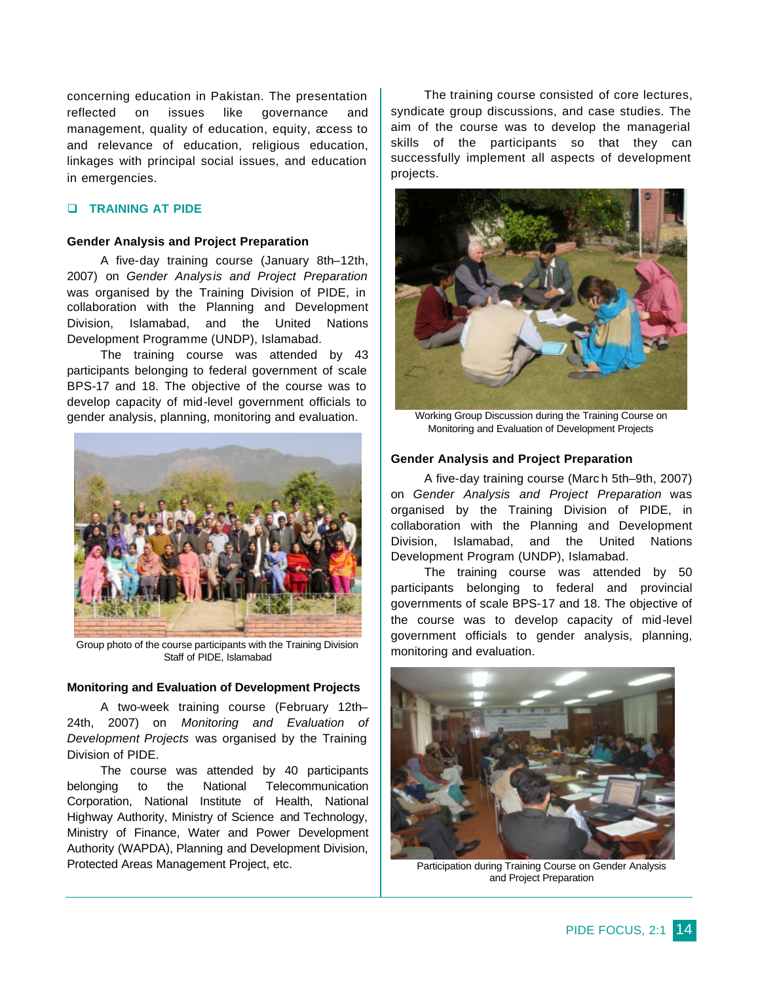concerning education in Pakistan. The presentation reflected on issues like governance and management, quality of education, equity, access to and relevance of education, religious education, linkages with principal social issues, and education in emergencies.

# q **TRAINING AT PIDE**

#### **Gender Analysis and Project Preparation**

A five-day training course (January 8th–12th, 2007) on *Gender Analysis and Project Preparation* was organised by the Training Division of PIDE, in collaboration with the Planning and Development Division, Islamabad, and the United Nations Development Programme (UNDP), Islamabad.

The training course was attended by 43 participants belonging to federal government of scale BPS-17 and 18. The objective of the course was to develop capacity of mid-level government officials to gender analysis, planning, monitoring and evaluation.



Group photo of the course participants with the Training Division Staff of PIDE, Islamabad

#### **Monitoring and Evaluation of Development Projects**

A two-week training course (February 12th– 24th, 2007) on *Monitoring and Evaluation of Development Projects* was organised by the Training Division of PIDE.

The course was attended by 40 participants belonging to the National Telecommunication Corporation, National Institute of Health, National Highway Authority, Ministry of Science and Technology, Ministry of Finance, Water and Power Development Authority (WAPDA), Planning and Development Division, Protected Areas Management Project, etc.

The training course consisted of core lectures, syndicate group discussions, and case studies. The aim of the course was to develop the managerial skills of the participants so that they can successfully implement all aspects of development projects.



Working Group Discussion during the Training Course on Monitoring and Evaluation of Development Projects

#### **Gender Analysis and Project Preparation**

A five-day training course (Marc h 5th–9th, 2007) on *Gender Analysis and Project Preparation* was organised by the Training Division of PIDE, in collaboration with the Planning and Development Division, Islamabad, and the United Nations Development Program (UNDP), Islamabad.

The training course was attended by 50 participants belonging to federal and provincial governments of scale BPS-17 and 18. The objective of the course was to develop capacity of mid-level government officials to gender analysis, planning, monitoring and evaluation.



Participation during Training Course on Gender Analysis and Project Preparation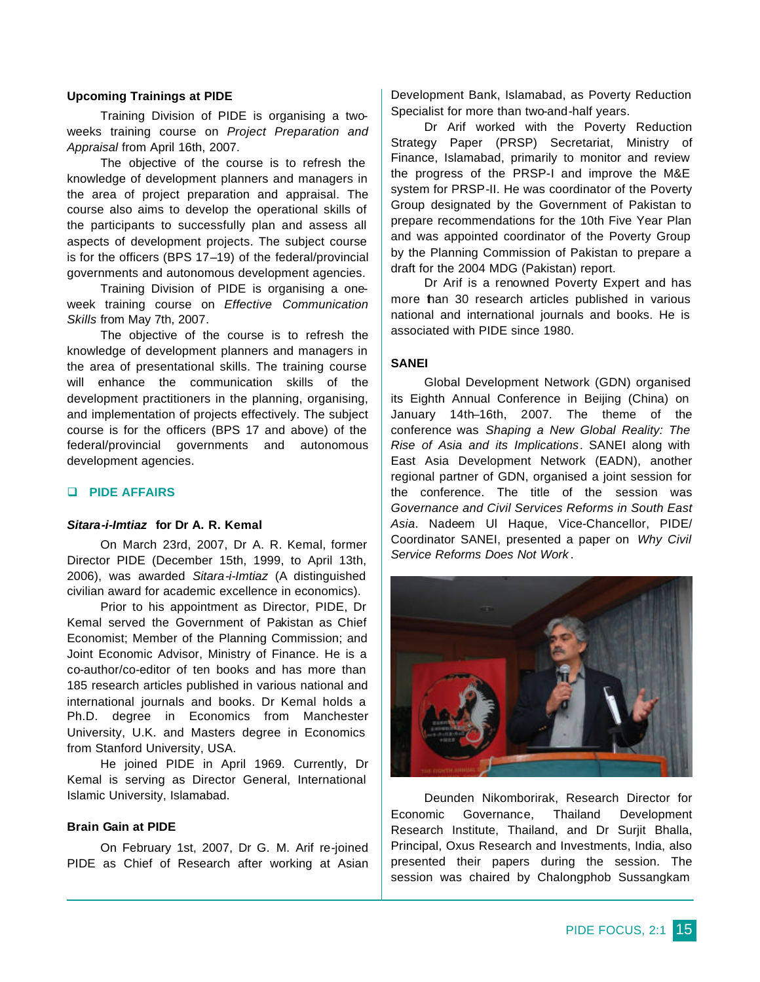#### **Upcoming Trainings at PIDE**

Training Division of PIDE is organising a twoweeks training course on *Project Preparation and Appraisal* from April 16th, 2007.

The objective of the course is to refresh the knowledge of development planners and managers in the area of project preparation and appraisal. The course also aims to develop the operational skills of the participants to successfully plan and assess all aspects of development projects. The subject course is for the officers (BPS 17–19) of the federal/provincial governments and autonomous development agencies.

Training Division of PIDE is organising a oneweek training course on *Effective Communication Skills* from May 7th, 2007.

The objective of the course is to refresh the knowledge of development planners and managers in the area of presentational skills. The training course will enhance the communication skills of the development practitioners in the planning, organising, and implementation of projects effectively. The subject course is for the officers (BPS 17 and above) of the federal/provincial governments and autonomous development agencies.

## q **PIDE AFFAIRS**

# *Sitara-i-Imtiaz* **for Dr A. R. Kemal**

On March 23rd, 2007, Dr A. R. Kemal, former Director PIDE (December 15th, 1999, to April 13th, 2006), was awarded *Sitara-i-Imtiaz* (A distinguished civilian award for academic excellence in economics).

Prior to his appointment as Director, PIDE, Dr Kemal served the Government of Pakistan as Chief Economist; Member of the Planning Commission; and Joint Economic Advisor, Ministry of Finance. He is a co-author/co-editor of ten books and has more than 185 research articles published in various national and international journals and books. Dr Kemal holds a Ph.D. degree in Economics from Manchester University, U.K. and Masters degree in Economics from Stanford University, USA.

He joined PIDE in April 1969. Currently, Dr Kemal is serving as Director General, International Islamic University, Islamabad.

## **Brain Gain at PIDE**

On February 1st, 2007, Dr G. M. Arif re-joined PIDE as Chief of Research after working at Asian

Development Bank, Islamabad, as Poverty Reduction Specialist for more than two-and-half years.

Dr Arif worked with the Poverty Reduction Strategy Paper (PRSP) Secretariat, Ministry of Finance, Islamabad, primarily to monitor and review the progress of the PRSP-I and improve the M&E system for PRSP-II. He was coordinator of the Poverty Group designated by the Government of Pakistan to prepare recommendations for the 10th Five Year Plan and was appointed coordinator of the Poverty Group by the Planning Commission of Pakistan to prepare a draft for the 2004 MDG (Pakistan) report.

Dr Arif is a renowned Poverty Expert and has more than 30 research articles published in various national and international journals and books. He is associated with PIDE since 1980.

### **SANEI**

Global Development Network (GDN) organised its Eighth Annual Conference in Beijing (China) on January 14th–16th, 2007. The theme of the conference was *Shaping a New Global Reality: The Rise of Asia and its Implications*. SANEI along with East Asia Development Network (EADN), another regional partner of GDN, organised a joint session for the conference. The title of the session was *Governance and Civil Services Reforms in South East Asia*. Nadeem Ul Haque, Vice-Chancellor, PIDE/ Coordinator SANEI, presented a paper on *Why Civil Service Reforms Does Not Work* .



Deunden Nikomborirak, Research Director for Economic Governance, Thailand Development Research Institute, Thailand, and Dr Surjit Bhalla, Principal, Oxus Research and Investments, India, also presented their papers during the session. The session was chaired by Chalongphob Sussangkam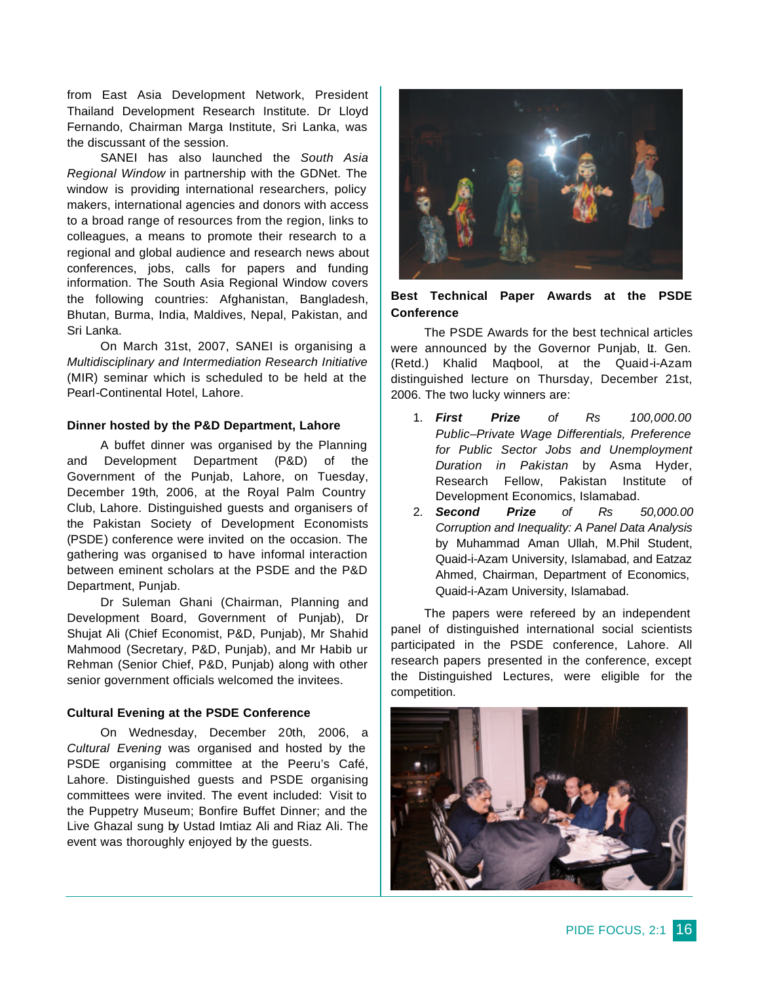from East Asia Development Network, President Thailand Development Research Institute. Dr Lloyd Fernando, Chairman Marga Institute, Sri Lanka, was the discussant of the session.

SANEI has also launched the *South Asia Regional Window* in partnership with the GDNet. The window is providing international researchers, policy makers, international agencies and donors with access to a broad range of resources from the region, links to colleagues, a means to promote their research to a regional and global audience and research news about conferences, jobs, calls for papers and funding information. The South Asia Regional Window covers the following countries: Afghanistan, Bangladesh, Bhutan, Burma, India, Maldives, Nepal, Pakistan, and Sri Lanka.

On March 31st, 2007, SANEI is organising a *Multidisciplinary and Intermediation Research Initiative* (MIR) seminar which is scheduled to be held at the Pearl-Continental Hotel, Lahore.

#### **Dinner hosted by the P&D Department, Lahore**

A buffet dinner was organised by the Planning and Development Department (P&D) of the Government of the Punjab, Lahore, on Tuesday, December 19th, 2006, at the Royal Palm Country Club, Lahore. Distinguished guests and organisers of the Pakistan Society of Development Economists (PSDE) conference were invited on the occasion. The gathering was organised to have informal interaction between eminent scholars at the PSDE and the P&D Department, Punjab.

Dr Suleman Ghani (Chairman, Planning and Development Board, Government of Punjab), Dr Shujat Ali (Chief Economist, P&D, Punjab), Mr Shahid Mahmood (Secretary, P&D, Punjab), and Mr Habib ur Rehman (Senior Chief, P&D, Punjab) along with other senior government officials welcomed the invitees.

# **Cultural Evening at the PSDE Conference**

On Wednesday, December 20th, 2006, a *Cultural Evening* was organised and hosted by the PSDE organising committee at the Peeru's Café, Lahore. Distinguished guests and PSDE organising committees were invited. The event included: Visit to the Puppetry Museum; Bonfire Buffet Dinner; and the Live Ghazal sung by Ustad Imtiaz Ali and Riaz Ali. The event was thoroughly enjoyed by the guests.



# **Best Technical Paper Awards at the PSDE Conference**

The PSDE Awards for the best technical articles were announced by the Governor Punjab, Lt. Gen. (Retd.) Khalid Maqbool, at the Quaid-i-Azam distinguished lecture on Thursday, December 21st, 2006. The two lucky winners are:

- 1. *First Prize of Rs 100,000.00 Public–Private Wage Differentials, Preference for Public Sector Jobs and Unemployment Duration in Pakistan* by Asma Hyder, Research Fellow, Pakistan Institute of Development Economics, Islamabad.
- 2. *Second Prize of Rs 50,000.00 Corruption and Inequality: A Panel Data Analysis* by Muhammad Aman Ullah, M.Phil Student, Quaid-i-Azam University, Islamabad, and Eatzaz Ahmed, Chairman, Department of Economics, Quaid-i-Azam University, Islamabad.

The papers were refereed by an independent panel of distinguished international social scientists participated in the PSDE conference, Lahore. All research papers presented in the conference, except the Distinguished Lectures, were eligible for the competition.

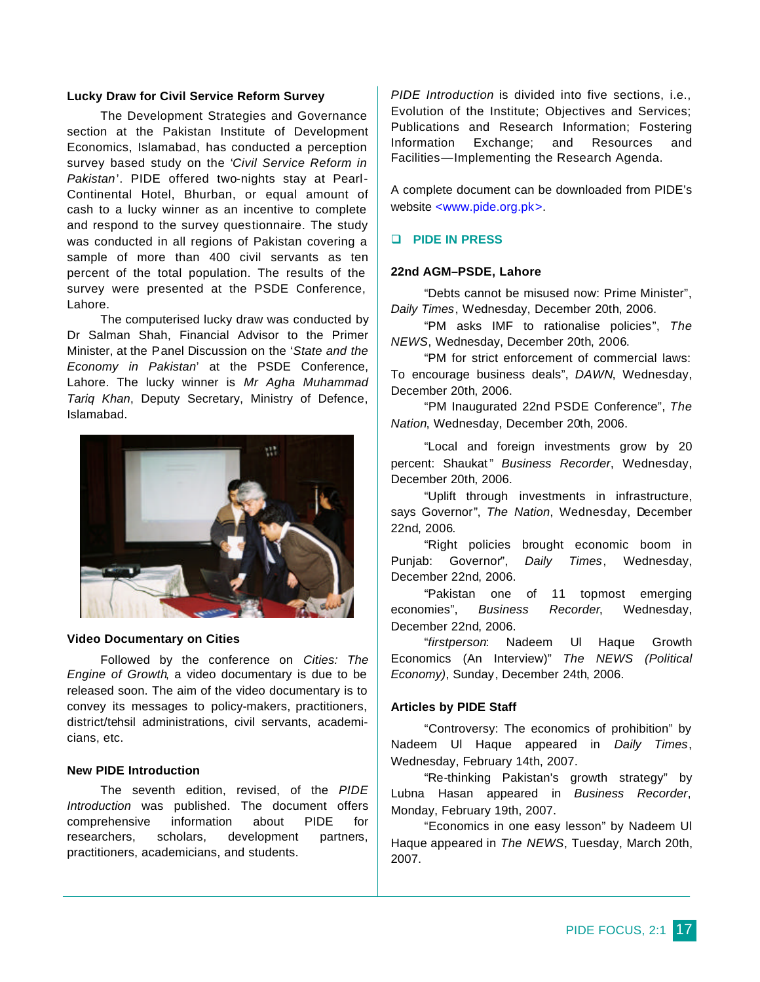## **Lucky Draw for Civil Service Reform Survey**

The Development Strategies and Governance section at the Pakistan Institute of Development Economics, Islamabad, has conducted a perception survey based study on the '*Civil Service Reform in Pakistan*'. PIDE offered two-nights stay at Pearl-Continental Hotel, Bhurban, or equal amount of cash to a lucky winner as an incentive to complete and respond to the survey questionnaire. The study was conducted in all regions of Pakistan covering a sample of more than 400 civil servants as ten percent of the total population. The results of the survey were presented at the PSDE Conference, Lahore.

The computerised lucky draw was conducted by Dr Salman Shah, Financial Advisor to the Primer Minister, at the Panel Discussion on the '*State and the Economy in Pakistan*' at the PSDE Conference, Lahore. The lucky winner is *Mr Agha Muhammad Tariq Khan*, Deputy Secretary, Ministry of Defence, Islamabad.



#### **Video Documentary on Cities**

Followed by the conference on *Cities: The Engine of Growth*, a video documentary is due to be released soon. The aim of the video documentary is to convey its messages to policy-makers, practitioners, district/tehsil administrations, civil servants, academicians, etc.

# **New PIDE Introduction**

The seventh edition, revised, of the *PIDE Introduction* was published. The document offers comprehensive information about PIDE for researchers, scholars, development partners, practitioners, academicians, and students.

*PIDE Introduction* is divided into five sections, i.e., Evolution of the Institute; Objectives and Services; Publications and Research Information; Fostering Information Exchange; and Resources and Facilities—Implementing the Research Agenda.

A complete document can be downloaded from PIDE's website <www.pide.org.pk>.

# q **PIDE IN PRESS**

#### **22nd AGM–PSDE, Lahore**

"Debts cannot be misused now: Prime Minister", *Daily Times*, Wednesday, December 20th, 2006.

"PM asks IMF to rationalise policies", *The NEWS*, Wednesday, December 20th, 2006.

"PM for strict enforcement of commercial laws: To encourage business deals", *DAWN*, Wednesday, December 20th, 2006.

"PM Inaugurated 22nd PSDE Conference", *The Nation*, Wednesday, December 20th, 2006.

"Local and foreign investments grow by 20 percent: Shaukat" *Business Recorder*, Wednesday, December 20th, 2006.

"Uplift through investments in infrastructure, says Governor", *The Nation*, Wednesday, December 22nd, 2006.

"Right policies brought economic boom in Punjab: Governor", *Daily Times*, Wednesday, December 22nd, 2006.

"Pakistan one of 11 topmost emerging economies", *Business Recorder*, Wednesday, December 22nd, 2006.

"*firstperson*: Nadeem Ul Haque Growth Economics (An Interview)" *The NEWS (Political Economy)*, Sunday, December 24th, 2006.

#### **Articles by PIDE Staff**

"Controversy: The economics of prohibition" by Nadeem Ul Haque appeared in *Daily Times*, Wednesday, February 14th, 2007.

"Re-thinking Pakistan's growth strategy" by Lubna Hasan appeared in *Business Recorder*, Monday, February 19th, 2007.

"Economics in one easy lesson" by Nadeem Ul Haque appeared in *The NEWS*, Tuesday, March 20th, 2007.